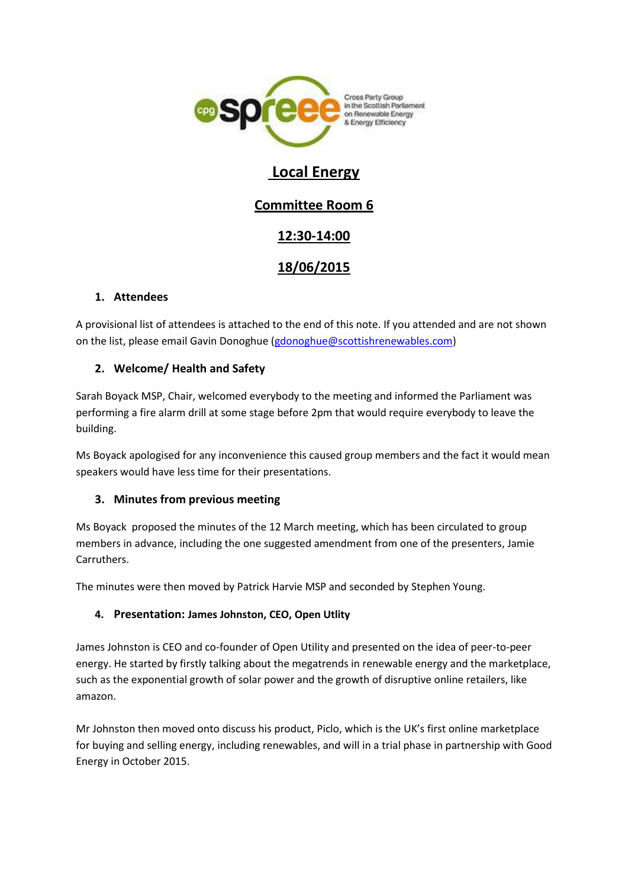

# **Local Energy**

# **Committee Room 6**

# **12:30-14:00**

# **18/06/2015**

### **1. Attendees**

A provisional list of attendees is attached to the end of this note. If you attended and are not shown on the list, please email Gavin Donoghue [\(gdonoghue@scottishrenewables.com\)](mailto:gdonoghue@scottishrenewables.com)

### **2. Welcome/ Health and Safety**

Sarah Boyack MSP, Chair, welcomed everybody to the meeting and informed the Parliament was performing a fire alarm drill at some stage before 2pm that would require everybody to leave the building.

Ms Boyack apologised for any inconvenience this caused group members and the fact it would mean speakers would have less time for their presentations.

#### **3. Minutes from previous meeting**

Ms Boyack proposed the minutes of the 12 March meeting, which has been circulated to group members in advance, including the one suggested amendment from one of the presenters, Jamie Carruthers.

The minutes were then moved by Patrick Harvie MSP and seconded by Stephen Young.

#### **4. Presentation: James Johnston, CEO, Open Utlity**

James Johnston is CEO and co-founder of Open Utility and presented on the idea of peer-to-peer energy. He started by firstly talking about the megatrends in renewable energy and the marketplace, such as the exponential growth of solar power and the growth of disruptive online retailers, like amazon.

Mr Johnston then moved onto discuss his product, Piclo, which is the UK's first online marketplace for buying and selling energy, including renewables, and will in a trial phase in partnership with Good Energy in October 2015.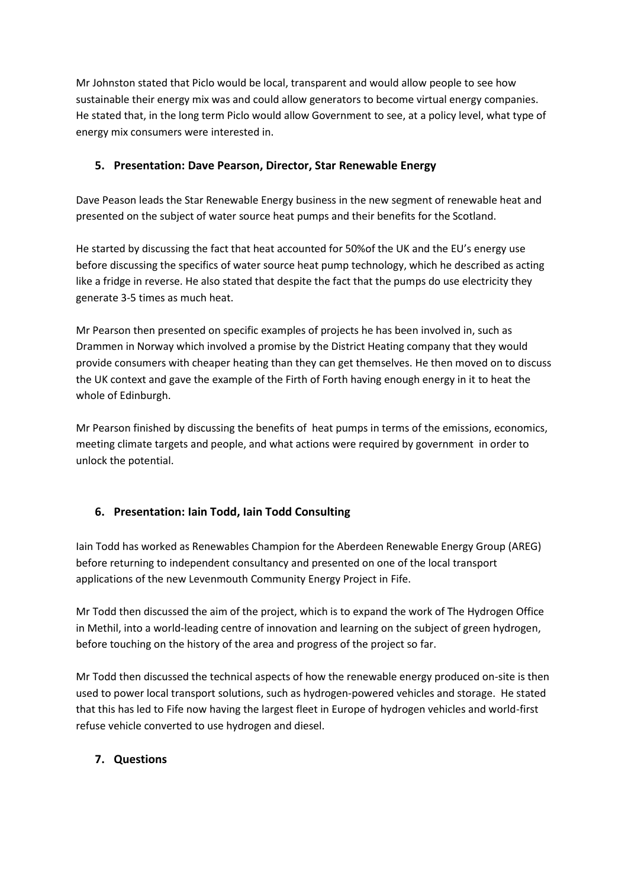Mr Johnston stated that Piclo would be local, transparent and would allow people to see how sustainable their energy mix was and could allow generators to become virtual energy companies. He stated that, in the long term Piclo would allow Government to see, at a policy level, what type of energy mix consumers were interested in.

#### **5. Presentation: Dave Pearson, Director, Star Renewable Energy**

Dave Peason leads the Star Renewable Energy business in the new segment of renewable heat and presented on the subject of water source heat pumps and their benefits for the Scotland.

He started by discussing the fact that heat accounted for 50%of the UK and the EU's energy use before discussing the specifics of water source heat pump technology, which he described as acting like a fridge in reverse. He also stated that despite the fact that the pumps do use electricity they generate 3-5 times as much heat.

Mr Pearson then presented on specific examples of projects he has been involved in, such as Drammen in Norway which involved a promise by the District Heating company that they would provide consumers with cheaper heating than they can get themselves. He then moved on to discuss the UK context and gave the example of the Firth of Forth having enough energy in it to heat the whole of Edinburgh.

Mr Pearson finished by discussing the benefits of heat pumps in terms of the emissions, economics, meeting climate targets and people, and what actions were required by government in order to unlock the potential.

## **6. Presentation: Iain Todd, Iain Todd Consulting**

Iain Todd has worked as Renewables Champion for the Aberdeen Renewable Energy Group (AREG) before returning to independent consultancy and presented on one of the local transport applications of the new Levenmouth Community Energy Project in Fife.

Mr Todd then discussed the aim of the project, which is to expand the work of The Hydrogen Office in Methil, into a world-leading centre of innovation and learning on the subject of green hydrogen, before touching on the history of the area and progress of the project so far.

Mr Todd then discussed the technical aspects of how the renewable energy produced on-site is then used to power local transport solutions, such as hydrogen-powered vehicles and storage. He stated that this has led to Fife now having the largest fleet in Europe of hydrogen vehicles and world-first refuse vehicle converted to use hydrogen and diesel.

#### **7. Questions**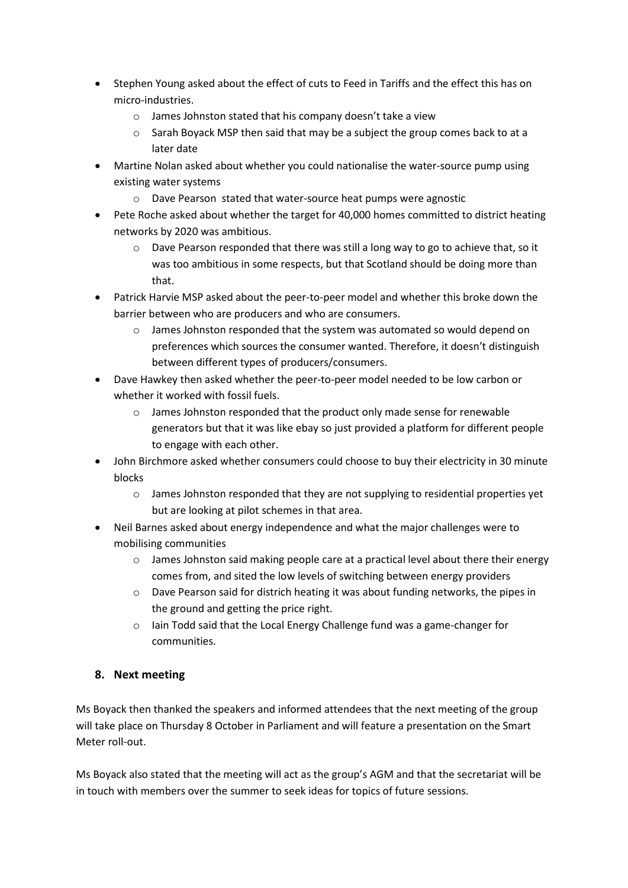- Stephen Young asked about the effect of cuts to Feed in Tariffs and the effect this has on micro-industries.
	- o James Johnston stated that his company doesn't take a view
	- o Sarah Boyack MSP then said that may be a subject the group comes back to at a later date
- Martine Nolan asked about whether you could nationalise the water-source pump using existing water systems
	- o Dave Pearson stated that water-source heat pumps were agnostic
- Pete Roche asked about whether the target for 40,000 homes committed to district heating networks by 2020 was ambitious.
	- o Dave Pearson responded that there was still a long way to go to achieve that, so it was too ambitious in some respects, but that Scotland should be doing more than that.
- Patrick Harvie MSP asked about the peer-to-peer model and whether this broke down the barrier between who are producers and who are consumers.
	- o James Johnston responded that the system was automated so would depend on preferences which sources the consumer wanted. Therefore, it doesn't distinguish between different types of producers/consumers.
- Dave Hawkey then asked whether the peer-to-peer model needed to be low carbon or whether it worked with fossil fuels.
	- o James Johnston responded that the product only made sense for renewable generators but that it was like ebay so just provided a platform for different people to engage with each other.
- John Birchmore asked whether consumers could choose to buy their electricity in 30 minute blocks
	- $\circ$  James Johnston responded that they are not supplying to residential properties yet but are looking at pilot schemes in that area.
- Neil Barnes asked about energy independence and what the major challenges were to mobilising communities
	- o James Johnston said making people care at a practical level about there their energy comes from, and sited the low levels of switching between energy providers
	- o Dave Pearson said for districh heating it was about funding networks, the pipes in the ground and getting the price right.
	- o Iain Todd said that the Local Energy Challenge fund was a game-changer for communities.

#### **8. Next meeting**

Ms Boyack then thanked the speakers and informed attendees that the next meeting of the group will take place on Thursday 8 October in Parliament and will feature a presentation on the Smart Meter roll-out.

Ms Boyack also stated that the meeting will act as the group's AGM and that the secretariat will be in touch with members over the summer to seek ideas for topics of future sessions.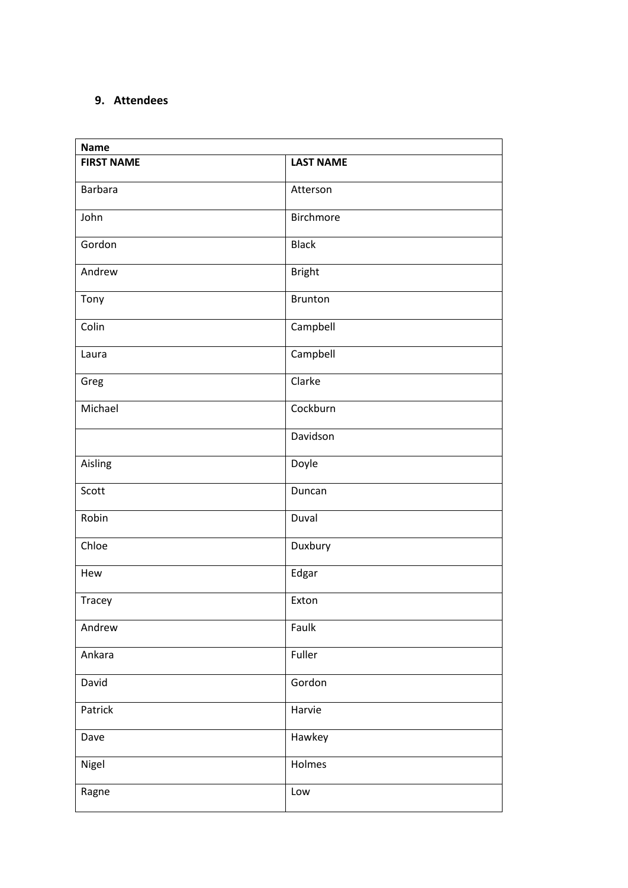### **9. Attendees**

| <b>Name</b>       |                  |
|-------------------|------------------|
| <b>FIRST NAME</b> | <b>LAST NAME</b> |
| Barbara           | Atterson         |
| John              | Birchmore        |
| Gordon            | <b>Black</b>     |
| Andrew            | <b>Bright</b>    |
| Tony              | <b>Brunton</b>   |
| Colin             | Campbell         |
| Laura             | Campbell         |
| Greg              | Clarke           |
| Michael           | Cockburn         |
|                   | Davidson         |
| Aisling           | Doyle            |
| Scott             | Duncan           |
| Robin             | Duval            |
| Chloe             | Duxbury          |
| Hew               | Edgar            |
| Tracey            | Exton            |
| Andrew            | Faulk            |
| Ankara            | Fuller           |
| David             | Gordon           |
| Patrick           | Harvie           |
| Dave              | Hawkey           |
| Nigel             | Holmes           |
| Ragne             | Low              |